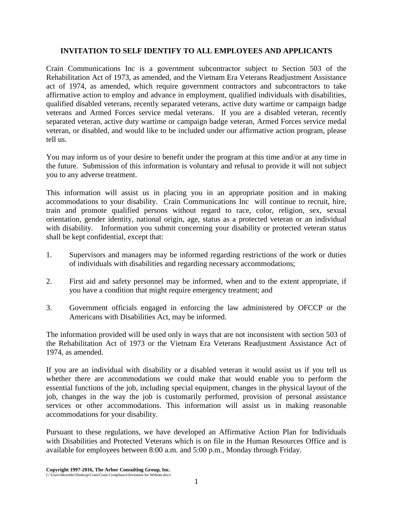## **INVITATION TO SELF IDENTIFY TO ALL EMPLOYEES AND APPLICANTS**

Crain Communications Inc is a government subcontractor subject to Section 503 of the Rehabilitation Act of 1973, as amended, and the Vietnam Era Veterans Readjustment Assistance act of 1974, as amended, which require government contractors and subcontractors to take affirmative action to employ and advance in employment, qualified individuals with disabilities, qualified disabled veterans, recently separated veterans, active duty wartime or campaign badge veterans and Armed Forces service medal veterans. If you are a disabled veteran, recently separated veteran, active duty wartime or campaign badge veteran, Armed Forces service medal veteran, or disabled, and would like to be included under our affirmative action program, please tell us.

You may inform us of your desire to benefit under the program at this time and/or at any time in the future. Submission of this information is voluntary and refusal to provide it will not subject you to any adverse treatment.

This information will assist us in placing you in an appropriate position and in making accommodations to your disability. Crain Communications Inc will continue to recruit, hire, train and promote qualified persons without regard to race, color, religion, sex, sexual orientation, gender identity, national origin, age, status as a protected veteran or an individual with disability. Information you submit concerning your disability or protected veteran status shall be kept confidential, except that:

- 1. Supervisors and managers may be informed regarding restrictions of the work or duties of individuals with disabilities and regarding necessary accommodations;
- 2. First aid and safety personnel may be informed, when and to the extent appropriate, if you have a condition that might require emergency treatment; and
- 3. Government officials engaged in enforcing the law administered by OFCCP or the Americans with Disabilities Act, may be informed.

The information provided will be used only in ways that are not inconsistent with section 503 of the Rehabilitation Act of 1973 or the Vietnam Era Veterans Readjustment Assistance Act of 1974, as amended.

If you are an individual with disability or a disabled veteran it would assist us if you tell us whether there are accommodations we could make that would enable you to perform the essential functions of the job, including special equipment, changes in the physical layout of the job, changes in the way the job is customarily performed, provision of personal assistance services or other accommodations. This information will assist us in making reasonable accommodations for your disability.

Pursuant to these regulations, we have developed an Affirmative Action Plan for Individuals with Disabilities and Protected Veterans which is on file in the Human Resources Office and is available for employees between 8:00 a.m. and 5:00 p.m., Monday through Friday.